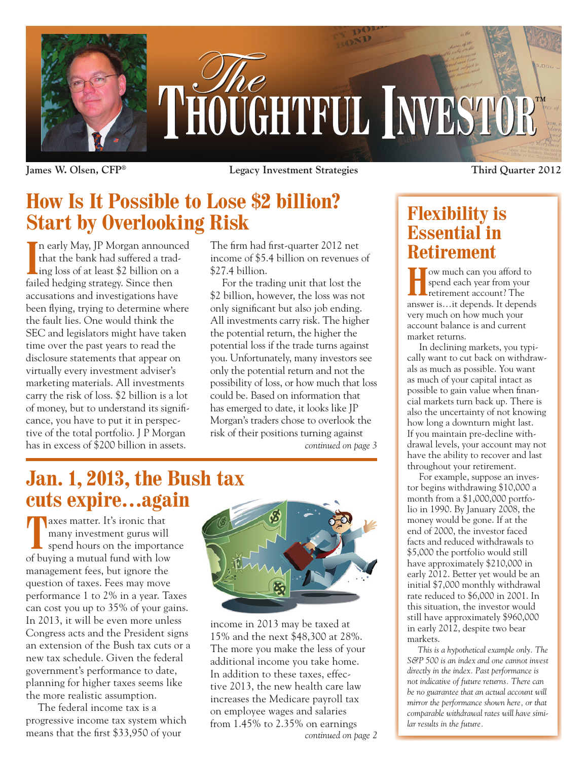

**James W. Olsen, CFP® Legacy Investment Strategies**

## **How Is It Possible to Lose \$2 billion? Start by Overlooking Risk**

In early May, JP Morgan announce<br>that the bank had suffered a trad-<br>ing loss of at least \$2 billion on a n early May, JP Morgan announced that the bank had suffered a tradfailed hedging strategy. Since then accusations and investigations have been flying, trying to determine where the fault lies. One would think the SEC and legislators might have taken time over the past years to read the disclosure statements that appear on virtually every investment adviser's marketing materials. All investments carry the risk of loss. \$2 billion is a lot of money, but to understand its significance, you have to put it in perspective of the total portfolio. J P Morgan has in excess of \$200 billion in assets.

The firm had first-quarter 2012 net income of \$5.4 billion on revenues of \$27.4 billion.

For the trading unit that lost the \$2 billion, however, the loss was not only significant but also job ending. All investments carry risk. The higher the potential return, the higher the potential loss if the trade turns against you. Unfortunately, many investors see only the potential return and not the possibility of loss, or how much that loss could be. Based on information that has emerged to date, it looks like JP Morgan's traders chose to overlook the risk of their positions turning against *continued on page 3*

**Jan. 1, 2013, the Bush tax cuts expire…again**

The same of the same of the same of the same of the same of the same of the same of the same of the same of the same of the same of the same of the same of the same of the same of the same of the same of the same of the sa many investment gurus will spend hours on the importance of buying a mutual fund with low management fees, but ignore the question of taxes. Fees may move performance 1 to 2% in a year. Taxes can cost you up to 35% of your gains. In 2013, it will be even more unless Congress acts and the President signs an extension of the Bush tax cuts or a new tax schedule. Given the federal government's performance to date, planning for higher taxes seems like the more realistic assumption.

The federal income tax is a progressive income tax system which means that the first \$33,950 of your



income in 2013 may be taxed at 15% and the next \$48,300 at 28%. The more you make the less of your additional income you take home. In addition to these taxes, effective 2013, the new health care law increases the Medicare payroll tax on employee wages and salaries from 1.45% to 2.35% on earnings

### **Flexibility is Essential in Retirement**

**Third Quarter 2012**

**Homeon** we much can you afford to spend each year from your retirement account? The spend each year from your retirement account? The answer is…it depends. It depends very much on how much your account balance is and current market returns.

In declining markets, you typically want to cut back on withdrawals as much as possible. You want as much of your capital intact as possible to gain value when financial markets turn back up. There is also the uncertainty of not knowing how long a downturn might last. If you maintain pre-decline withdrawal levels, your account may not have the ability to recover and last throughout your retirement.

For example, suppose an investor begins withdrawing \$10,000 a month from a \$1,000,000 portfolio in 1990. By January 2008, the money would be gone. If at the end of 2000, the investor faced facts and reduced withdrawals to \$5,000 the portfolio would still have approximately \$210,000 in early 2012. Better yet would be an initial \$7,000 monthly withdrawal rate reduced to \$6,000 in 2001. In this situation, the investor would still have approximately \$960,000 in early 2012, despite two bear markets.

*This is a hypothetical example only. The S&P 500 is an index and one cannot invest directly in the index. Past performance is not indicative of future returns. There can be no guarantee that an actual account will mirror the performance shown here, or that comparable withdrawal rates will have similar results in the future.*

*continued on page 2*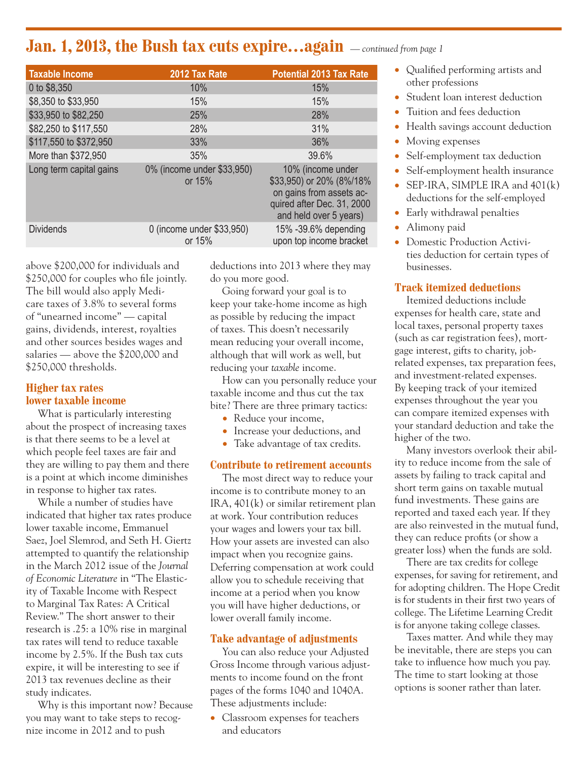### **Jan. 1, 2013, the Bush tax cuts expire…again** *— continued from page 1*

| <b>Taxable Income</b>   | 2012 Tax Rate                         | <b>Potential 2013 Tax Rate</b>                                                                                                    |
|-------------------------|---------------------------------------|-----------------------------------------------------------------------------------------------------------------------------------|
| 0 to \$8,350            | 10%                                   | 15%                                                                                                                               |
| \$8,350 to \$33,950     | 15%                                   | 15%                                                                                                                               |
| \$33,950 to \$82,250    | 25%                                   | 28%                                                                                                                               |
| \$82,250 to \$117,550   | 28%                                   | 31%                                                                                                                               |
| \$117,550 to \$372,950  | 33%                                   | 36%                                                                                                                               |
| More than \$372,950     | 35%                                   | 39.6%                                                                                                                             |
| Long term capital gains | 0% (income under \$33,950)<br>or 15%  | 10% (income under<br>\$33,950) or 20% (8%/18%<br>on gains from assets ac-<br>quired after Dec. 31, 2000<br>and held over 5 years) |
| <b>Dividends</b>        | 0 (income under \$33,950)<br>or $15%$ | 15% -39.6% depending<br>upon top income bracket                                                                                   |

above \$200,000 for individuals and \$250,000 for couples who file jointly. The bill would also apply Medicare taxes of 3.8% to several forms of "unearned income" — capital gains, dividends, interest, royalties and other sources besides wages and salaries — above the \$200,000 and \$250,000 thresholds.

#### **Higher tax rates lower taxable income**

What is particularly interesting about the prospect of increasing taxes is that there seems to be a level at which people feel taxes are fair and they are willing to pay them and there is a point at which income diminishes in response to higher tax rates.

While a number of studies have indicated that higher tax rates produce lower taxable income, Emmanuel Saez, Joel Slemrod, and Seth H. Giertz attempted to quantify the relationship in the March 2012 issue of the *Journal of Economic Literature* in "The Elasticity of Taxable Income with Respect to Marginal Tax Rates: A Critical Review." The short answer to their research is .25: a 10% rise in marginal tax rates will tend to reduce taxable income by 2.5%. If the Bush tax cuts expire, it will be interesting to see if 2013 tax revenues decline as their study indicates.

Why is this important now? Because you may want to take steps to recognize income in 2012 and to push

deductions into 2013 where they may do you more good.

Going forward your goal is to keep your take-home income as high as possible by reducing the impact of taxes. This doesn't necessarily mean reducing your overall income, although that will work as well, but reducing your *taxable* income.

How can you personally reduce your taxable income and thus cut the tax bite? There are three primary tactics:

- Reduce your income,
- Increase your deductions, and
- Take advantage of tax credits.

#### **Contribute to retirement accounts**

The most direct way to reduce your income is to contribute money to an IRA, 401(k) or similar retirement plan at work. Your contribution reduces your wages and lowers your tax bill. How your assets are invested can also impact when you recognize gains. Deferring compensation at work could allow you to schedule receiving that income at a period when you know you will have higher deductions, or lower overall family income.

#### **Take advantage of adjustments**

You can also reduce your Adjusted Gross Income through various adjustments to income found on the front pages of the forms 1040 and 1040A. These adjustments include:

• Classroom expenses for teachers and educators

- Qualified performing artists and other professions
- Student loan interest deduction
- Tuition and fees deduction
- Health savings account deduction
- Moving expenses
- Self-employment tax deduction
- Self-employment health insurance • SEP-IRA, SIMPLE IRA and 401(k) deductions for the self-employed
- Early withdrawal penalties
- Alimony paid
- Domestic Production Activities deduction for certain types of businesses.

#### **Track itemized deductions**

Itemized deductions include expenses for health care, state and local taxes, personal property taxes (such as car registration fees), mortgage interest, gifts to charity, jobrelated expenses, tax preparation fees, and investment-related expenses. By keeping track of your itemized expenses throughout the year you can compare itemized expenses with your standard deduction and take the higher of the two.

Many investors overlook their ability to reduce income from the sale of assets by failing to track capital and short term gains on taxable mutual fund investments. These gains are reported and taxed each year. If they are also reinvested in the mutual fund, they can reduce profits (or show a greater loss) when the funds are sold.

There are tax credits for college expenses, for saving for retirement, and for adopting children. The Hope Credit is for students in their first two years of college. The Lifetime Learning Credit is for anyone taking college classes.

Taxes matter. And while they may be inevitable, there are steps you can take to influence how much you pay. The time to start looking at those options is sooner rather than later.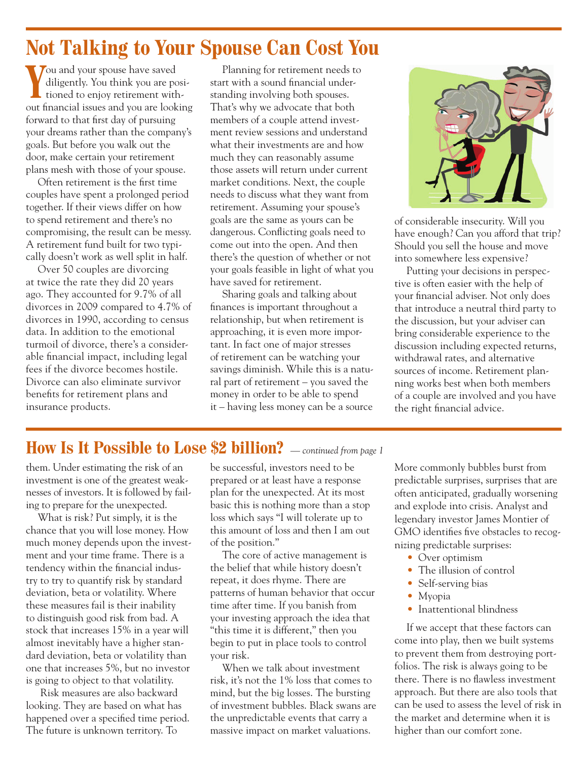## **Not Talking to Your Spouse Can Cost You**

**Y** ou and your spouse have saved<br>diligently. You think you are po<br>tioned to enjoy retirement with diligently. You think you are positioned to enjoy retirement without financial issues and you are looking forward to that first day of pursuing your dreams rather than the company's goals. But before you walk out the door, make certain your retirement plans mesh with those of your spouse.

Often retirement is the first time couples have spent a prolonged period together. If their views differ on how to spend retirement and there's no compromising, the result can be messy. A retirement fund built for two typically doesn't work as well split in half.

Over 50 couples are divorcing at twice the rate they did 20 years ago. They accounted for 9.7% of all divorces in 2009 compared to 4.7% of divorces in 1990, according to census data. In addition to the emotional turmoil of divorce, there's a considerable financial impact, including legal fees if the divorce becomes hostile. Divorce can also eliminate survivor benefits for retirement plans and insurance products.

Planning for retirement needs to start with a sound financial understanding involving both spouses. That's why we advocate that both members of a couple attend investment review sessions and understand what their investments are and how much they can reasonably assume those assets will return under current market conditions. Next, the couple needs to discuss what they want from retirement. Assuming your spouse's goals are the same as yours can be dangerous. Conflicting goals need to come out into the open. And then there's the question of whether or not your goals feasible in light of what you have saved for retirement.

Sharing goals and talking about finances is important throughout a relationship, but when retirement is approaching, it is even more important. In fact one of major stresses of retirement can be watching your savings diminish. While this is a natural part of retirement – you saved the money in order to be able to spend it – having less money can be a source



of considerable insecurity. Will you have enough? Can you afford that trip? Should you sell the house and move into somewhere less expensive?

Putting your decisions in perspective is often easier with the help of your financial adviser. Not only does that introduce a neutral third party to the discussion, but your adviser can bring considerable experience to the discussion including expected returns, withdrawal rates, and alternative sources of income. Retirement planning works best when both members of a couple are involved and you have the right financial advice.

### **How Is It Possible to Lose \$2 billion?** *— continued from page 1*

them. Under estimating the risk of an investment is one of the greatest weaknesses of investors. It is followed by failing to prepare for the unexpected.

What is risk? Put simply, it is the chance that you will lose money. How much money depends upon the investment and your time frame. There is a tendency within the financial industry to try to quantify risk by standard deviation, beta or volatility. Where these measures fail is their inability to distinguish good risk from bad. A stock that increases 15% in a year will almost inevitably have a higher standard deviation, beta or volatility than one that increases 5%, but no investor is going to object to that volatility.

 Risk measures are also backward looking. They are based on what has happened over a specified time period. The future is unknown territory. To

be successful, investors need to be prepared or at least have a response plan for the unexpected. At its most basic this is nothing more than a stop loss which says "I will tolerate up to this amount of loss and then I am out of the position."

The core of active management is the belief that while history doesn't repeat, it does rhyme. There are patterns of human behavior that occur time after time. If you banish from your investing approach the idea that "this time it is different," then you begin to put in place tools to control your risk.

When we talk about investment risk, it's not the 1% loss that comes to mind, but the big losses. The bursting of investment bubbles. Black swans are the unpredictable events that carry a massive impact on market valuations.

More commonly bubbles burst from predictable surprises, surprises that are often anticipated, gradually worsening and explode into crisis. Analyst and legendary investor James Montier of GMO identifies five obstacles to recognizing predictable surprises:

- Over optimism
- The illusion of control
- Self-serving bias
- Myopia
- Inattentional blindness

If we accept that these factors can come into play, then we built systems to prevent them from destroying portfolios. The risk is always going to be there. There is no flawless investment approach. But there are also tools that can be used to assess the level of risk in the market and determine when it is higher than our comfort zone.